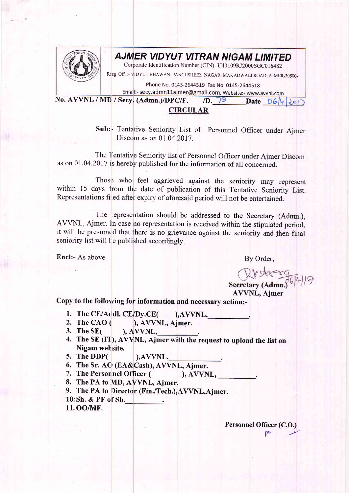

## AJMIER VIDYUT VITRAN NIGAM LIMITED

Corporate Identification Number (CIN)- U40109RJ2000SGC016482

Rersg off. :- \TIDYUT BHAWAN, PANCHSHEET NAGAR, MAKADWALI ROAD, AJMER-305004

Phone No. 0145-2644519 Fax No. 0145-2644518

Email:- secy.admn11ajmer@gmail.com, Website:- www.avvnl.com<br>No. AVVNL / MD / Secy. (Admn.)/DPC/F. /D. 79 Date 06/4 Jol

## CIRCULAR

Sub: Tentative Seniority List of Personnel Officer under Ajmer Discom as on 01.04.2017.

The Tentative Seniority list of Personnel Officer under Ajmer Discom as on 01 .04.2017 is hereby published for the information of all concerned.

Those who feel aggrieved against the seniority may represent within 15 days from the date of publication of this Tentative Seniority List. Representations filed after expiry of aforesaid period will not be entertained.

The representation should be addressed to the Secretary (Admn.), AVVNL, Ajmer. In case no representation is received within the stipulated period, it will be presumed that there is no grievance against the seniority and then final seniority list will be published accordingly.

Encl:- As above By Order,

Secretary (Admn.)

AVVNL, Ajmer

Copy to the following for information and necessary action:-

- 1. The CE/Addl. CE/Dy.CE( ), AVVNL,
- 2. The CAO $($ /Dy.CE( ),AVVNL,\_<br> ), AVVNL, Ajmer.
- **3. The SE(** ), A.VVNL,
- 4. The SE (IT), AVVNL, Ajmer with the request to upload the list on Nigam website.
- 5. The DDP( ),AVVNL,
- 6. The Sr. AC) (EA&Cash), AWNL, Ajmer.
- 7. The Personnel Officer (  $), AVVNL,$
- 8. The PA to MD, AVVNL, Aimer.
- 9. The PA to Director (Fin./Tech.), AVVNL, Ajmer.
- 10: Sh. & PF of Sh.
- 11.OO/MF.

Personnel Officer (C.O.)  $\mathsf{r}$